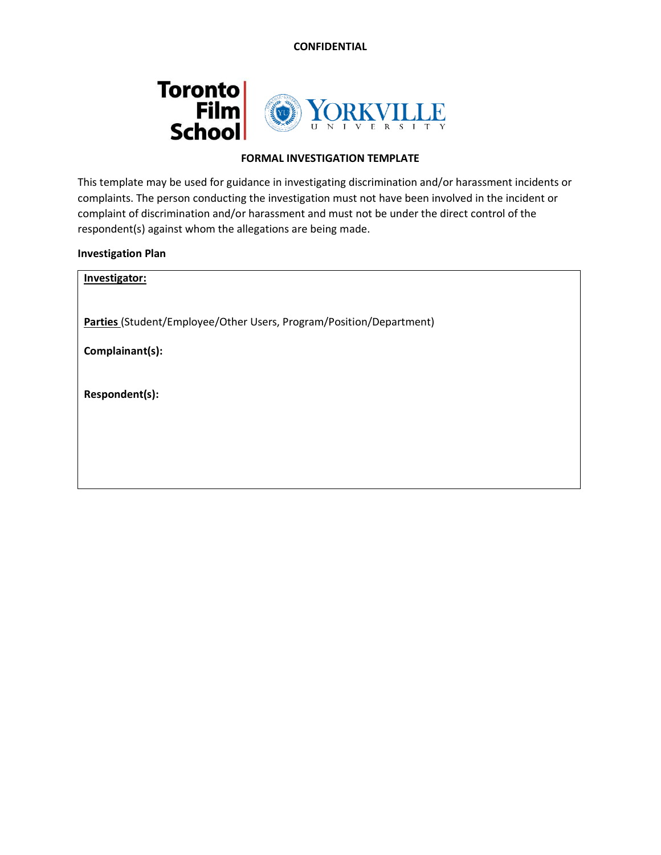**CONFIDENTIAL**



## **FORMAL INVESTIGATION TEMPLATE**

This template may be used for guidance in investigating discrimination and/or harassment incidents or complaints. The person conducting the investigation must not have been involved in the incident or complaint of discrimination and/or harassment and must not be under the direct control of the respondent(s) against whom the allegations are being made.

**Investigation Plan**

| Investigator:                                                       |
|---------------------------------------------------------------------|
| Parties (Student/Employee/Other Users, Program/Position/Department) |
| Complainant(s):                                                     |
| Respondent(s):                                                      |
|                                                                     |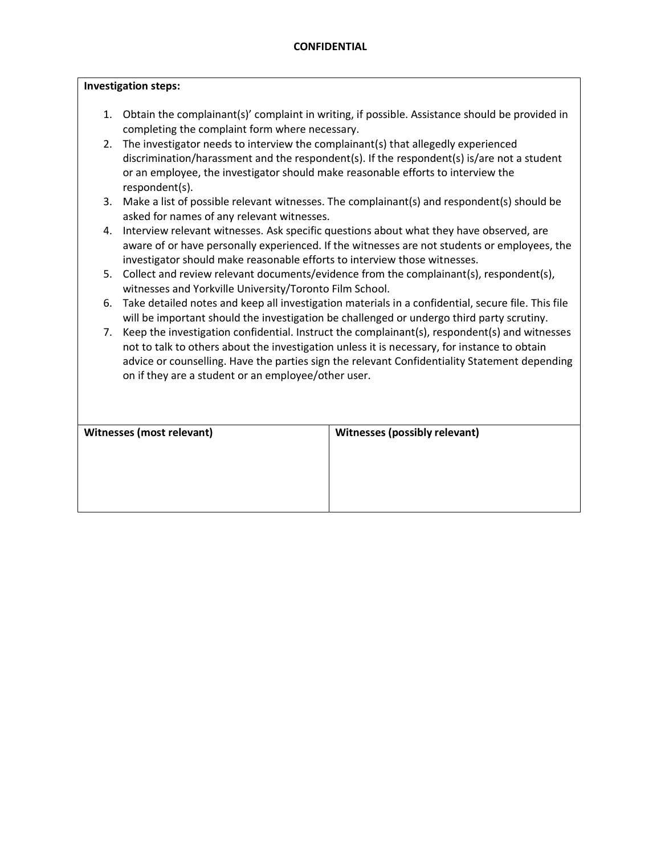#### **Investigation steps:**

- 1. Obtain the complainant(s)' complaint in writing, if possible. Assistance should be provided in completing the complaint form where necessary.
- 2. The investigator needs to interview the complainant(s) that allegedly experienced discrimination/harassment and the respondent(s). If the respondent(s) is/are not a student or an employee, the investigator should make reasonable efforts to interview the respondent(s).
- 3. Make a list of possible relevant witnesses. The complainant(s) and respondent(s) should be asked for names of any relevant witnesses.
- 4. Interview relevant witnesses. Ask specific questions about what they have observed, are aware of or have personally experienced. If the witnesses are not students or employees, the investigator should make reasonable efforts to interview those witnesses.
- 5. Collect and review relevant documents/evidence from the complainant(s), respondent(s), witnesses and Yorkville University/Toronto Film School.
- 6. Take detailed notes and keep all investigation materials in a confidential, secure file. This file will be important should the investigation be challenged or undergo third party scrutiny.
- 7. Keep the investigation confidential. Instruct the complainant(s), respondent(s) and witnesses not to talk to others about the investigation unless it is necessary, for instance to obtain advice or counselling. Have the parties sign the relevant Confidentiality Statement depending on if they are a student or an employee/other user.

| <b>Witnesses (most relevant)</b> | <b>Witnesses (possibly relevant)</b> |
|----------------------------------|--------------------------------------|
|                                  |                                      |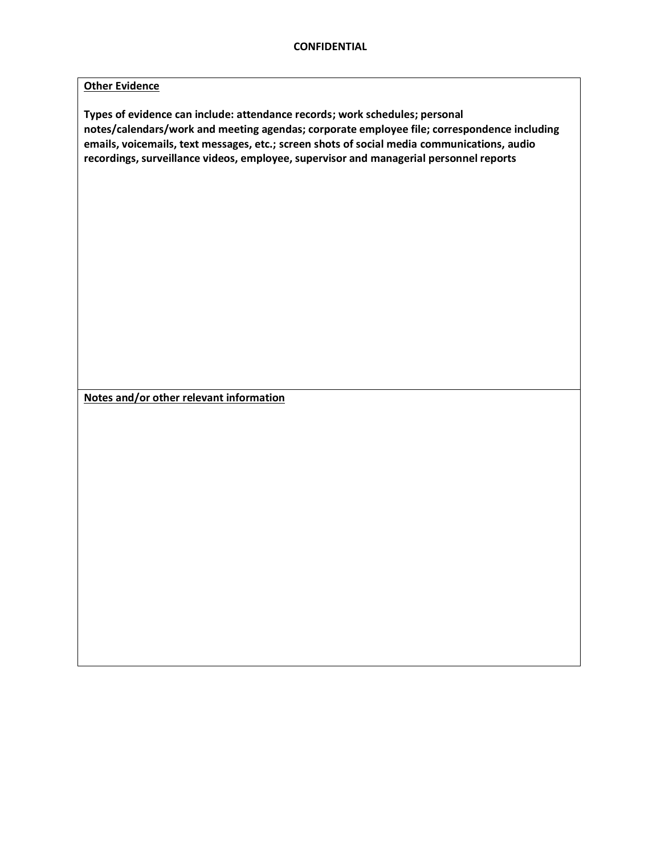## **Other Evidence**

**Types of evidence can include: attendance records; work schedules; personal notes/calendars/work and meeting agendas; corporate employee file; correspondence including emails, voicemails, text messages, etc.; screen shots of social media communications, audio recordings, surveillance videos, employee, supervisor and managerial personnel reports**

**Notes and/or other relevant information**